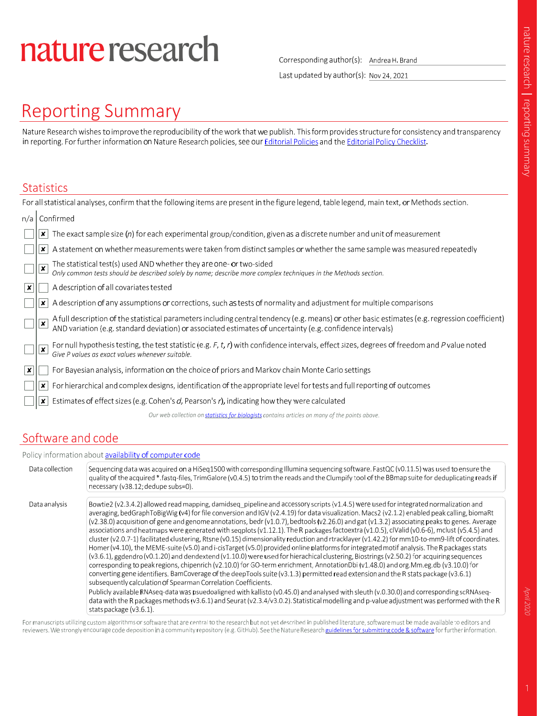# nature research

Corresponding author(s): Andrea H. Brand

Last updated by author(s): Nov 24, 2021

## **Reporting Summary**

Nature Research wishes to improve the reproducibility of the work that we publish. This form provides structure for consistency and transparency in reporting. For further information on Nature Research policies, see our Editorial Policies and the Editorial Policy Checklist.

#### **Statistics**

|     | For all statistical analyses, confirm that the following items are present in the figure legend, table legend, main text, or Methods section.                                                                                                                 |
|-----|---------------------------------------------------------------------------------------------------------------------------------------------------------------------------------------------------------------------------------------------------------------|
| n/a | Confirmed                                                                                                                                                                                                                                                     |
|     | The exact sample size $(n)$ for each experimental group/condition, given as a discrete number and unit of measurement                                                                                                                                         |
|     | A statement on whether measurements were taken from distinct samples or whether the same sample was measured repeatedly                                                                                                                                       |
|     | The statistical test(s) used AND whether they are one- or two-sided<br>Only common tests should be described solely by name; describe more complex techniques in the Methods section.                                                                         |
| x   | A description of all covariates tested                                                                                                                                                                                                                        |
|     | A description of any assumptions or corrections, such as tests of normality and adjustment for multiple comparisons                                                                                                                                           |
|     | A full description of the statistical parameters including central tendency (e.g. means) or other basic estimates (e.g. regression coefficient)<br>AND variation (e.g. standard deviation) or associated estimates of uncertainty (e.g. confidence intervals) |
|     | For null hypothesis testing, the test statistic (e.g. F, t, r) with confidence intervals, effect sizes, degrees of freedom and P value noted<br>Give P values as exact values whenever suitable.                                                              |
| ×   | For Bayesian analysis, information on the choice of priors and Markov chain Monte Carlo settings                                                                                                                                                              |
|     | For hierarchical and complex designs, identification of the appropriate level for tests and full reporting of outcomes                                                                                                                                        |
|     | Estimates of effect sizes (e.g. Cohen's d, Pearson's r), indicating how they were calculated                                                                                                                                                                  |
|     | Our web collection on statistics for biologists contains articles on many of the points above.                                                                                                                                                                |
|     |                                                                                                                                                                                                                                                               |

## Software and code

Policy information about availability of computer code

Sequencing data was acquired on a HiSeg1500 with corresponding Illumina sequencing software. FastQC (v0.11.5) was used to ensure the Data collection quality of the acquired \*.fastq-files, TrimGalore (v0.4.5) to trim the reads and the Clumpify tool of the BBmap suite for deduplicating reads if necessary (v38.12; dedupe subs=0). Bowtie2 (v2.3.4.2) allowed read mapping, damidseq pipeline and accessory scripts (v1.4.5) were used for integrated normalization and Data analysis averaging, bedGraphToBigWig (v4) for file conversion and IGV (v2.4.19) for data visualization. Macs2 (v2.1.2) enabled peak calling, biomaRt (v2.38.0) acquisition of gene and genome annotations, bedr (v1.0.7), bedtools (v2.26.0) and gat (v1.3.2) associating peaks to genes. Average associations and heatmaps were generated with segplots (v1.12.1). The R packages factoextra (v1.0.5), clValid (v0.6-6), mclust (v5.4.5) and cluster (v2.0.7-1) facilitated clustering, Rtsne (v0.15) dimensionality reduction and rtracklayer (v1.42.2) for mm10-to-mm9-lift of coordinates. Homer (v4.10), the MEME-suite (v5.0) and i-cisTarget (v5.0) provided online platforms for integrated motif analysis. The R packages stats (v3.6.1), ggdendro (v0.1.20) and dendextend (v1.10.0) were used for hierachical clustering, Biostrings (v2.50.2) for acquiring sequences corresponding to peak regions, chipenrich (v2.10.0) for GO-term enrichment, AnnotationDbi (v1.48.0) and org. Mm.eg.db (v3.10.0) for converting gene identifiers. BamCoverage of the deepTools suite (v3.1.3) permitted read extension and the R stats package (v3.6.1) subsequently calculation of Spearman Correlation Coefficients. Publicly available RNAseq-data was psuedoaligned with kallisto (v0.45.0) and analysed with sleuth (v.0.30.0) and corresponding scRNAseqdata with the R packages methods (v3.6.1) and Seurat (v2.3.4/v3.0.2). Statistical modelling and p-value adjustment was performed with the R stats package (v3.6.1).

For manuscripts utilizing custom algorithms or software that are central to the research but not yet described in published literature, software must be made available to editors and reviewers. We strongly encourage code deposition in a community repository (e.g. GitHub). See the Nature Research guidelines for submitting code & software for further information.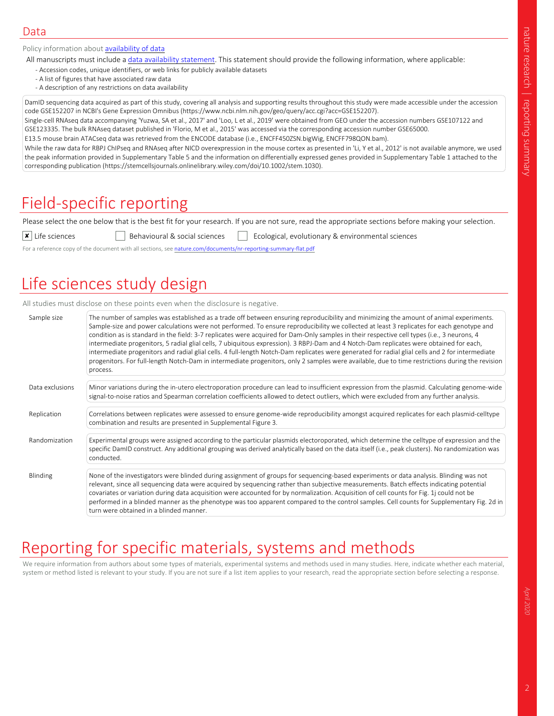#### Data

Policy information about **availability of data** 

All manuscripts must include a data availability statement. This statement should provide the following information, where applicable:

- Accession codes, unique identifiers, or web links for publicly available datasets
- A list of figures that have associated raw data
- A description of any restrictions on data availability

DamID sequencing data acquired as part of this study, covering all analysis and supporting results throughout this study were made accessible under the accession code GSE152207 in NCBI's Gene Expression Omnibus (https://www.ncbi.nlm.nih.gov/geo/query/acc.cgi?acc=GSE152207).

Single-cell RNAseq data accompanying 'Yuzwa, SA et al., 2017' and 'Loo, L et al., 2019' were obtained from GEO under the accession numbers GSE107122 and GSE123335. The bulk RNAseq dataset published in 'Florio, M et al., 2015' was accessed via the corresponding accession number GSE65000.

E13.5 mouse brain ATACseq data was retrieved from the ENCODE database (i.e., ENCFF450ZSN.bigWig, ENCFF798QON.bam).

While the raw data for RBPJ ChIPseq and RNAseq after NICD overexpression in the mouse cortex as presented in 'Li, Y et al., 2012' is not available anymore, we used the peak information provided in Supplementary Table 5 and the information on differentially expressed genes provided in Supplementary Table 1 attached to the corresponding publication (https://stemcellsjournals.onlinelibrary.wiley.com/doi/10.1002/stem.1030).

## Field-specific reporting

Please select the one below that is the best fit for your research. If you are not sure, read the appropriate sections before making your selection.

 $\mathbf{F}$  Life sciences **Behavioural & social sciences** Ecological, evolutionary & environmental sciences

For a reference copy of the document with all sections, see nature.com/documents/nr-reporting-summary-flat.pdf

## Life sciences study design

All studies must disclose on these points even when the disclosure is negative.

| Sample size     | The number of samples was established as a trade off between ensuring reproducibility and minimizing the amount of animal experiments.<br>Sample-size and power calculations were not performed. To ensure reproducibility we collected at least 3 replicates for each genotype and<br>condition as is standard in the field: 3-7 replicates were acquired for Dam-Only samples in their respective cell types (i.e., 3 neurons, 4<br>intermediate progenitors, 5 radial glial cells, 7 ubiquitous expression). 3 RBPJ-Dam and 4 Notch-Dam replicates were obtained for each,<br>intermediate progenitors and radial glial cells. 4 full-length Notch-Dam replicates were generated for radial glial cells and 2 for intermediate<br>progenitors. For full-length Notch-Dam in intermediate progenitors, only 2 samples were available, due to time restrictions during the revision<br>process. |
|-----------------|--------------------------------------------------------------------------------------------------------------------------------------------------------------------------------------------------------------------------------------------------------------------------------------------------------------------------------------------------------------------------------------------------------------------------------------------------------------------------------------------------------------------------------------------------------------------------------------------------------------------------------------------------------------------------------------------------------------------------------------------------------------------------------------------------------------------------------------------------------------------------------------------------|
| Data exclusions | Minor variations during the in-utero electroporation procedure can lead to insufficient expression from the plasmid. Calculating genome-wide<br>signal-to-noise ratios and Spearman correlation coefficients allowed to detect outliers, which were excluded from any further analysis.                                                                                                                                                                                                                                                                                                                                                                                                                                                                                                                                                                                                          |
| Replication     | Correlations between replicates were assessed to ensure genome-wide reproducibility amongst acquired replicates for each plasmid-celltype<br>combination and results are presented in Supplemental Figure 3.                                                                                                                                                                                                                                                                                                                                                                                                                                                                                                                                                                                                                                                                                     |
| Randomization   | Experimental groups were assigned according to the particular plasmids electoroporated, which determine the celltype of expression and the<br>specific DamID construct. Any additional grouping was derived analytically based on the data itself (i.e., peak clusters). No randomization was<br>conducted.                                                                                                                                                                                                                                                                                                                                                                                                                                                                                                                                                                                      |
| Blinding        | None of the investigators were blinded during assignment of groups for sequencing-based experiments or data analysis. Blinding was not<br>relevant, since all sequencing data were acquired by sequencing rather than subjective measurements. Batch effects indicating potential<br>covariates or variation during data acquisition were accounted for by normalization. Acquisition of cell counts for Fig. 1j could not be<br>performed in a blinded manner as the phenotype was too apparent compared to the control samples. Cell counts for Supplementary Fig. 2d in<br>turn were obtained in a blinded manner.                                                                                                                                                                                                                                                                            |

## Reporting for specific materials, systems and methods

We require information from authors about some types of materials, experimental systems and methods used in many studies. Here, indicate whether each material, system or method listed is relevant to your study. If you are not sure if a list item applies to your research, read the appropriate section before selecting a response.